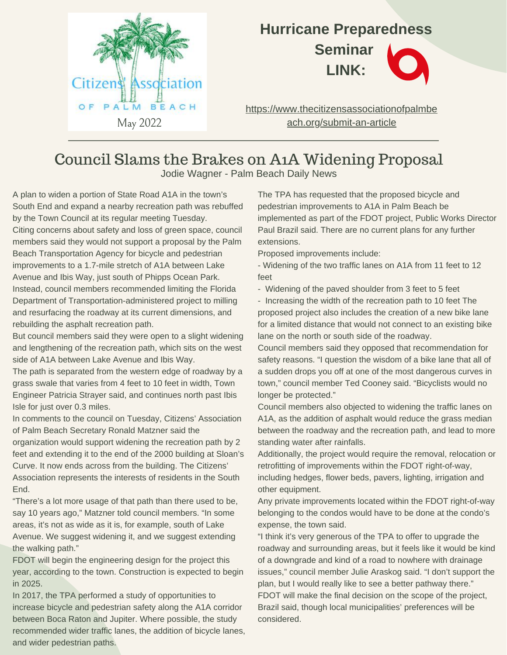

## **Hurricane Preparedness Seminar LINK:**

[https://www.thecitizensassociationofpalmbe](https://www.thecitizensassociationofpalmbeach.org/submit-an-article) ach.org/submit-an-article

## Council Slams the Brakes on A1A Widening Proposal

Jodie Wagner - Palm Beach Daily News

A plan to widen a portion of State Road A1A in the town's South End and expand a nearby recreation path was rebuffed by the Town Council at its regular meeting Tuesday. Citing concerns about safety and loss of green space, council members said they would not support a proposal by the Palm Beach Transportation Agency for bicycle and pedestrian improvements to a 1.7-mile stretch of A1A between Lake Avenue and Ibis Way, just south of Phipps Ocean Park. Instead, council members recommended limiting the Florida Department of Transportation-administered project to milling

and resurfacing the roadway at its current dimensions, and rebuilding the asphalt recreation path.

But council members said they were open to a slight widening and lengthening of the recreation path, which sits on the west side of A1A between Lake Avenue and Ibis Way.

The path is separated from the western edge of roadway by a grass swale that varies from 4 feet to 10 feet in width, Town Engineer Patricia Strayer said, and continues north past Ibis Isle for just over 0.3 miles.

In comments to the council on Tuesday, Citizens' Association of Palm Beach Secretary Ronald Matzner said the

organization would support widening the recreation path by 2 feet and extending it to the end of the 2000 building at Sloan's Curve. It now ends across from the building. The Citizens' Association represents the interests of residents in the South End.

"There's a lot more usage of that path than there used to be, say 10 years ago," Matzner told council members. "In some areas, it's not as wide as it is, for example, south of Lake Avenue. We suggest widening it, and we suggest extending the walking path."

FDOT will begin the engineering design for the project this year, according to the town. Construction is expected to begin in 2025.

In 2017, the TPA performed a study of opportunities to increase bicycle and pedestrian safety along the A1A corridor between Boca Raton and Jupiter. Where possible, the study recommended wider traffic lanes, the addition of bicycle lanes, and wider pedestrian paths.

The TPA has requested that the proposed bicycle and pedestrian improvements to A1A in Palm Beach be implemented as part of the FDOT project, Public Works Director Paul Brazil said. There are no current plans for any further extensions.

Proposed improvements include:

- Widening of the two traffic lanes on A1A from 11 feet to 12 feet

- Widening of the paved shoulder from 3 feet to 5 feet

- Increasing the width of the recreation path to 10 feet The proposed project also includes the creation of a new bike lane for a limited distance that would not connect to an existing bike lane on the north or south side of the roadway.

Council members said they opposed that recommendation for safety reasons. "I question the wisdom of a bike lane that all of a sudden drops you off at one of the most dangerous curves in town," council member Ted Cooney said. "Bicyclists would no longer be protected."

Council members also objected to widening the traffic lanes on A1A, as the addition of asphalt would reduce the grass median between the roadway and the recreation path, and lead to more standing water after rainfalls.

Additionally, the project would require the removal, relocation or retrofitting of improvements within the FDOT right-of-way, including hedges, flower beds, pavers, lighting, irrigation and other equipment.

Any private improvements located within the FDOT right-of-way belonging to the condos would have to be done at the condo's expense, the town said.

"I think it's very generous of the TPA to offer to upgrade the roadway and surrounding areas, but it feels like it would be kind of a downgrade and kind of a road to nowhere with drainage issues," council member Julie Araskog said. "I don't support the plan, but I would really like to see a better pathway there." FDOT will make the final decision on the scope of the project, Brazil said, though local municipalities' preferences will be considered.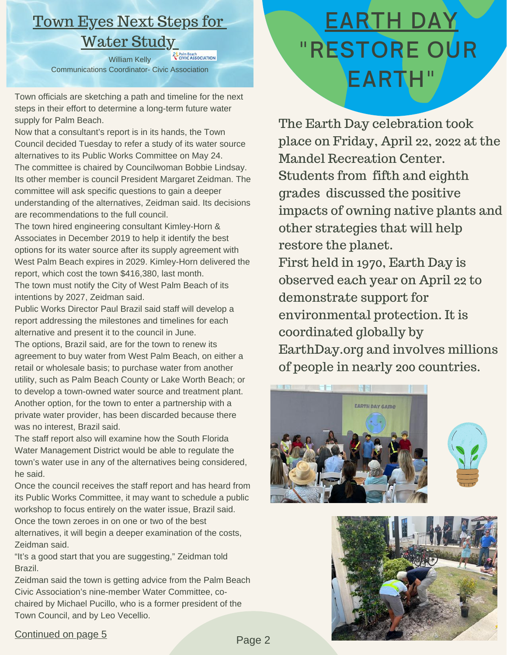# Town Eyes Next Steps for Water Study

William Kelly Communications Coordinator- Civic Association

Town officials are sketching a path and timeline for the next steps in their effort to determine a long-term future water supply for Palm Beach.

Now that a consultant's report is in its hands, the Town Council decided Tuesday to refer a study of its water source alternatives to its Public Works Committee on May 24. The committee is chaired by Councilwoman Bobbie Lindsay. Its other member is council President Margaret Zeidman. The committee will ask specific questions to gain a deeper understanding of the alternatives, Zeidman said. Its decisions are recommendations to the full council.

The town hired engineering consultant Kimley-Horn & Associates in December 2019 to help it identify the best options for its water source after its supply agreement with West Palm Beach expires in 2029. Kimley-Horn delivered the report, which cost the town \$416,380, last month. The town must notify the City of West Palm Beach of its intentions by 2027, Zeidman said.

Public Works Director Paul Brazil said staff will develop a report addressing the milestones and timelines for each alternative and present it to the council in June.

The options, Brazil said, are for the town to renew its agreement to buy water from West Palm Beach, on either a retail or wholesale basis; to purchase water from another utility, such as Palm Beach County or Lake Worth Beach; or to develop a town-owned water source and treatment plant. Another option, for the town to enter a partnership with a private water provider, has been discarded because there was no interest, Brazil said.

The staff report also will examine how the South Florida Water Management District would be able to regulate the town's water use in any of the alternatives being considered, he said.

Once the council receives the staff report and has heard from its Public Works Committee, it may want to schedule a public workshop to focus entirely on the water issue, Brazil said. Once the town zeroes in on one or two of the best alternatives, it will begin a deeper examination of the costs, Zeidman said.

"It's a good start that you are suggesting," Zeidman told Brazil.

Zeidman said the town is getting advice from the Palm Beach Civic Association's nine-member Water Committee, cochaired by Michael Pucillo, who is a former president of the Town Council, and by Leo Vecellio.

# EARTH DAY "RESTORE OUR EARTH"

The Earth Day celebration took place on Friday, April 22, 2022 at the Mandel Recreation Center. Students from fifth and eighth grades discussed the positive impacts of owning native plants and other strategies that will help restore the planet. First held in 1970, Earth Day is observed each year on April 22 to demonstrate support for environmental protection. It is coordinated globally by [EarthDay.org](http://earthday.org/) and involves millions of people in nearly 200 countries.







#### Continued on page 5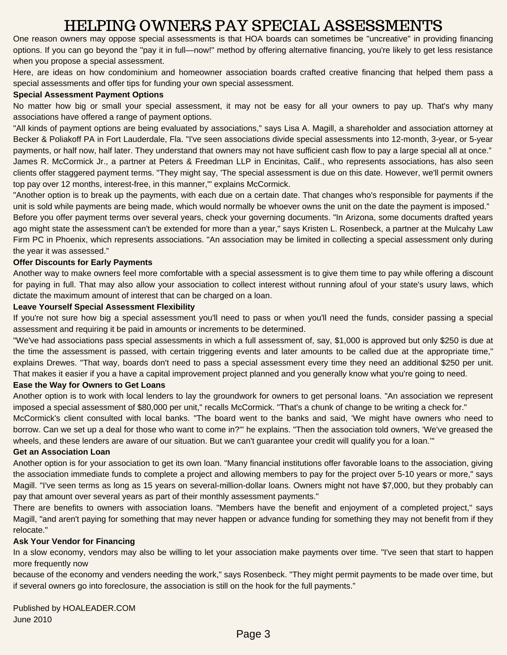### HELPING OWNERS PAY SPECIAL ASSESSMENTS

One reason owners may oppose special [assessments](https://www.hoaleader.com/public/department98.cfm) is that HOA boards can sometimes be "uncreative" in providing financing options. If you can go beyond the "pay it in full—now!" method by offering alternative financing, you're likely to get less resistance when you propose a special assessment.

Here, are ideas on how condominium and homeowner association boards crafted creative financing that helped them pass a special assessments and offer tips for funding your own special assessment.

#### **Special Assessment Payment Options**

No matter how big or small your special assessment, it may not be easy for all your owners to pay up. That's why many associations have offered a range of payment options.

"All kinds of payment options are being evaluated by associations," says Lisa A. [Magill,](https://www.hoaleader.com/public/department104.cfm) a shareholder and association attorney at Becker & Poliakoff PA in Fort Lauderdale, Fla. "I've seen associations divide special assessments into 12-month, 3-year, or 5-year payments, or half now, half later. They understand that owners may not have sufficient cash flow to pay a large special all at once." James R. [McCormick](https://www.hoaleader.com/public/department99.cfm) Jr., a partner at Peters & Freedman LLP in Encinitas, Calif., who represents associations, has also seen

clients offer staggered payment terms. "They might say, 'The special assessment is due on this date. However, we'll permit owners top pay over 12 months, interest-free, in this manner,'" explains McCormick.

"Another option is to break up the payments, with each due on a certain date. That changes who's responsible for payments if the unit is sold while payments are being made, which would normally be whoever owns the unit on the date the payment is imposed."

Before you offer payment terms over several years, check your governing documents. "In Arizona, some documents drafted years ago might state the assessment can't be extended for more than a year," says Kristen L. Rosenbeck, a partner at the Mulcahy Law Firm PC in Phoenix, which represents associations. "An association may be limited in collecting a special assessment only during the year it was assessed."

#### **Offer Discounts for Early Payments**

Another way to make owners feel more comfortable with a special assessment is to give them time to pay while offering a discount for paying in full. That may also allow your association to collect interest without running afoul of your state's usury laws, which dictate the maximum amount of interest that can be charged on a loan.

#### **Leave Yourself Special Assessment Flexibility**

If you're not sure how big a special assessment you'll need to pass or when you'll need the funds, consider passing a special assessment and requiring it be paid in amounts or increments to be determined.

"We've had associations pass special assessments in which a full assessment of, say, \$1,000 is approved but only \$250 is due at the time the assessment is passed, with certain triggering events and later amounts to be called due at the appropriate time," explains Drewes. "That way, boards don't need to pass a special assessment every time they need an additional \$250 per unit. That makes it easier if you a have a capital improvement project planned and you generally know what you're going to need.

#### **Ease the Way for Owners to Get Loans**

Another option is to work with local lenders to lay the groundwork for owners to get personal loans. "An association we represent imposed a special assessment of \$80,000 per unit," recalls McCormick. "That's a chunk of change to be writing a check for."

McCormick's client consulted with local banks. "The board went to the banks and said, 'We might have owners who need to borrow. Can we set up a deal for those who want to come in?'" he explains. "Then the association told owners, 'We've greased the wheels, and these lenders are aware of our situation. But we can't guarantee your credit will qualify you for a loan."

#### **Get an Association Loan**

Another option is for your association to get its own loan. "Many financial institutions offer favorable loans to the association, giving the association immediate funds to complete a project and allowing members to pay for the project over 5-10 years or more," says Magill. "I've seen terms as long as 15 years on several-million-dollar loans. Owners might not have \$7,000, but they probably can pay that amount over several years as part of their monthly assessment payments."

There are benefits to owners with association loans. "Members have the benefit and enjoyment of a completed project," says Magill, "and aren't paying for something that may never happen or advance funding for something they may not benefit from if they relocate."

#### **Ask Your Vendor for Financing**

In a slow economy, vendors may also be willing to let your association make payments over time. "I've seen that start to happen more frequently now

because of the economy and venders needing the work," says Rosenbeck. "They might permit payments to be made over time, but if several owners go into foreclosure, the association is still on the hook for the full payments."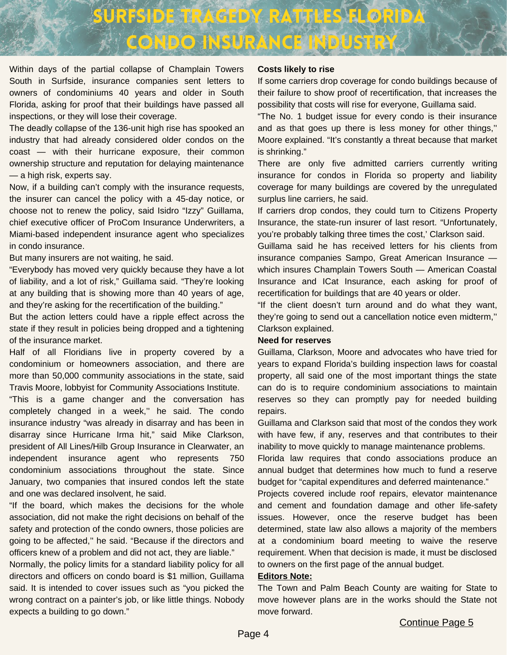

Within days of the partial collapse of Champlain Towers South in Surfside, insurance companies sent letters to owners of condominiums 40 years and older in South Florida, asking for proof that their buildings have passed all inspections, or they will lose their coverage.

The deadly collapse of the 136-unit high rise has spooked an industry that had already considered older condos on the coast — with their hurricane exposure, their common ownership structure and reputation for delaying maintenance — a high risk, experts say.

Now, if a building can't comply with the insurance requests, the insurer can cancel the policy with a 45-day notice, or choose not to renew the policy, said Isidro "Izzy" Guillama, chief executive officer of [ProCom Insurance Underwriters](https://www.facebook.com/procominsuranceunderwriters/), a Miami-based independent insurance agent who specializes in condo insurance.

But many insurers are not waiting, he said.

"Everybody has moved very quickly because they have a lot of liability, and a lot of risk," Guillama said. "They're looking at any building that is showing more than 40 years of age, and they're asking for the recertification of the building."

But the action letters could have a ripple effect across the state if they result in policies being dropped and a tightening of the insurance market.

Half of all Floridians live in property covered by a condominium or homeowners association, and there are more than 50,000 community associations in the state, said Travis Moore, lobbyist for Community Associations Institute.

"This is a game changer and the conversation has completely changed in a week,'' he said. The condo insurance industry "was already in disarray and has been in disarray since Hurricane Irma hit," said Mike Clarkson, president of All Lines/Hilb Group Insurance in Clearwater, an independent insurance agent who represents 750 condominium associations throughout the state. Since January, two companies that insured condos left the state and one was declared insolvent, he said.

"If the board, which makes the decisions for the whole association, did not make the right decisions on behalf of the safety and protection of the condo owners, those policies are going to be affected,'' he said. "Because if the directors and officers knew of a problem and did not act, they are liable."

Normally, the policy limits for a standard liability policy for all directors and officers on condo board is \$1 million, Guillama said. It is intended to cover issues such as "you picked the wrong contract on a painter's job, or like little things. Nobody expects a building to go down."

#### **Costs likely to rise**

If some carriers drop coverage for condo buildings because of their failure to show proof of recertification, that increases the possibility that costs will rise for everyone, Guillama said.

"The No. 1 budget issue for every condo is their insurance and as that goes up there is less money for other things,'' Moore explained. "It's constantly a threat because that market is shrinking."

There are only five admitted carriers currently writing insurance for condos in Florida so property and liability coverage for many buildings are covered by the unregulated surplus line carriers, he said.

If carriers drop condos, they could turn to Citizens Property Insurance, the state-run insurer of last resort. "Unfortunately, you're probably talking three times the cost,' Clarkson said.

Guillama said he has received letters for his clients from insurance companies Sampo, Great American Insurance which insures Champlain Towers South — American Coastal Insurance and ICat Insurance, each asking for proof of recertification for buildings that are 40 years or older.

"If the client doesn't turn around and do what they want, they're going to send out a cancellation notice even midterm,'' Clarkson explained.

#### **Need for reserves**

Guillama, Clarkson, Moore and advocates who have tried for years to expand Florida's building inspection laws for coastal property, all said one of the most important things the state can do is to require condominium associations to maintain reserves so they can promptly pay for needed building repairs.

Guillama and Clarkson said that most of the condos they work with have few, if any, reserves and that contributes to their inability to move quickly to manage maintenance problems.

Florida law requires that condo associations produce an annual budget that determines how much to fund a reserve budget for "capital expenditures and deferred maintenance."

Projects covered include roof repairs, elevator maintenance and cement and foundation damage and other life-safety issues. However, once the reserve budget has been determined, state law also allows a majority of the members at a condominium board meeting to waive the reserve requirement. When that decision is made, it must be disclosed to owners on the first page of the annual budget.

#### **Editors Note:**

The Town and Palm Beach County are waiting for State to move however plans are in the works should the State not move forward.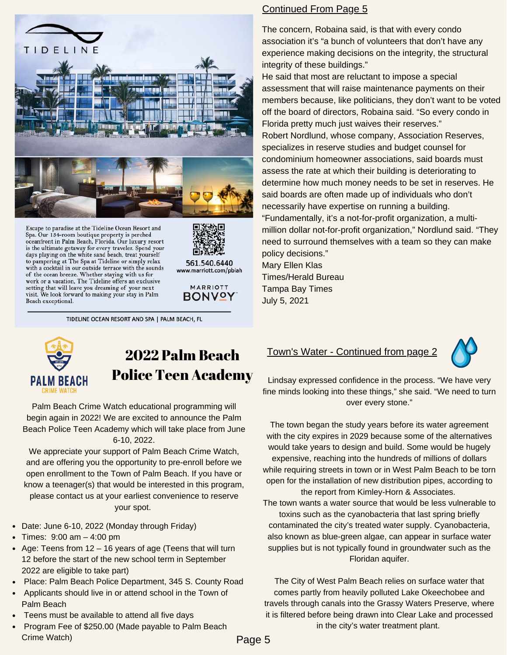

Spa. Our 134-room boutique property is perched oceanfront in Palm Beach, Florida. Our luxury resort is the ultimate getaway for every traveler. Spend your days playing on the white sand beach, treat yourself to pampering at The Spa at Tideline or simply relax with a cocktail in our outside terrace with the sounds of the ocean breeze. Whether staying with us for work or a vacation, The Tideline offers an exclusive setting that will leave you dreaming of your next visit. We look forward to making your stay in Palm Beach exceptional.



561.540.6440 www.marriott.com/pbiah



TIDELINE OCEAN RESORT AND SPA | PALM BEACH, FL

#### Continued From Page 5

The concern, Robaina said, is that with every condo association it's "a bunch of volunteers that don't have any experience making decisions on the integrity, the structural integrity of these buildings."

He said that most are reluctant to impose a special assessment that will raise maintenance payments on their members because, like politicians, they don't want to be voted off the board of directors, Robaina said. "So every condo in Florida pretty much just waives their reserves." Robert Nordlund, whose company, Association Reserves, specializes in reserve studies and budget counsel for condominium homeowner associations, said boards must assess the rate at which their building is deteriorating to determine how much money needs to be set in reserves. He said boards are often made up of individuals who don't necessarily have expertise on running a building. "Fundamentally, it's a not-for-profit organization, a multimillion dollar not-for-profit organization," Nordlund said. "They need to surround themselves with a team so they can make policy decisions."

Mary Ellen Klas Times/Herald Bureau Tampa Bay Times July 5, 2021



## 2022 Palm Beach Police Teen Academy

Palm Beach Crime Watch educational programming will begin again in 2022! We are excited to announce the Palm Beach Police Teen Academy which will take place from June 6-10, 2022.

We appreciate your support of Palm Beach Crime Watch, and are offering you the opportunity to pre-enroll before we open enrollment to the Town of Palm Beach. If you have or know a teenager(s) that would be interested in this program, please contact us at your earliest convenience to reserve your spot.

- Date: June 6-10, 2022 (Monday through Friday)
- Times:  $9:00 \text{ am} 4:00 \text{ pm}$
- Age: Teens from  $12 16$  years of age (Teens that will turn 12 before the start of the new school term in September 2022 are eligible to take part)
- Place: Palm Beach Police Department, 345 S. County Road
- Applicants should live in or attend school in the Town of Palm Beach
- Teens must be available to attend all five days
- Program Fee of \$250.00 (Made payable to Palm Beach Crime Watch)

#### Town's Water - Continued from page 2



Lindsay expressed confidence in the process. "We have very fine minds looking into these things," she said. "We need to turn over every stone."

The town began the study years before its water agreement with the city expires in 2029 because some of the alternatives would take years to design and build. Some would be hugely expensive, reaching into the hundreds of millions of dollars while requiring streets in town or in West Palm Beach to be torn open for the installation of new distribution pipes, according to the report from Kimley-Horn & Associates. The town wants a water source that would be less vulnerable to toxins such as the cyanobacteria that last spring briefly contaminated the city's treated water supply. Cyanobacteria,

also known as blue-green algae, can appear in surface water supplies but is not typically found in groundwater such as the Floridan aquifer.

The City of West Palm Beach relies on surface water that comes partly from heavily polluted Lake Okeechobee and travels through canals into the Grassy Waters Preserve, where it is filtered before being drawn into Clear Lake and processed in the city's water treatment plant.